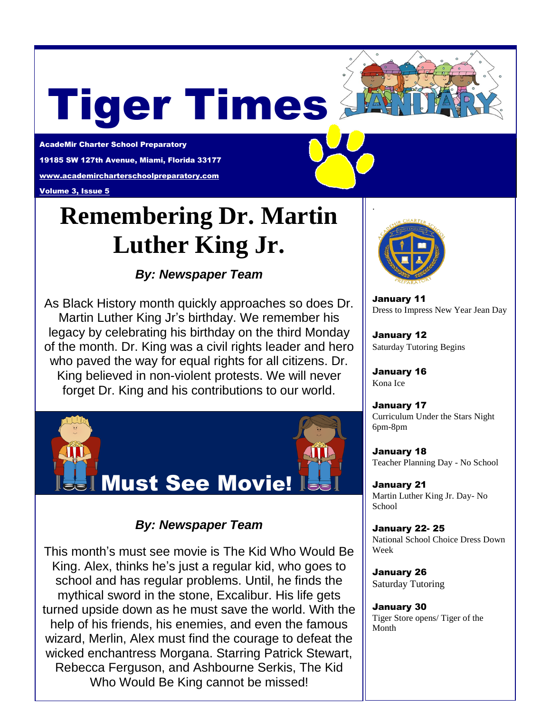# Tiger Times

AcadeMir Charter School Preparatory 19185 SW 127th Avenue, Miami, Florida 33177 [www.academircharterschoolpreparatory.com](http://www.academircharterschoolpreparatory.com/)

Volume 3, Issue 5

# **Remembering Dr. Martin Luther King Jr.**

*By: Newspaper Team*

As Black History month quickly approaches so does Dr. Martin Luther King Jr's birthday. We remember his legacy by celebrating his birthday on the third Monday of the month. Dr. King was a civil rights leader and hero who paved the way for equal rights for all citizens. Dr. King believed in non-violent protests. We will never forget Dr. King and his contributions to our world.



## *By: Newspaper Team*

This month's must see movie is The Kid Who Would Be King. Alex, thinks he's just a regular kid, who goes to school and has regular problems. Until, he finds the mythical sword in the stone, Excalibur. His life gets turned upside down as he must save the world. With the help of his friends, his enemies, and even the famous wizard, Merlin, Alex must find the courage to defeat the wicked enchantress Morgana. Starring Patrick Stewart, Rebecca Ferguson, and Ashbourne Serkis, The Kid Who Would Be King cannot be missed!



January 11 Dress to Impress New Year Jean Day

January 12 Saturday Tutoring Begins

January 16 Kona Ice

January 17 Curriculum Under the Stars Night 6pm-8pm

January 18 Teacher Planning Day - No School

January 21 Martin Luther King Jr. Day- No School

January 22- 25 National School Choice Dress Down Week

January 26 Saturday Tutoring

January 30 Tiger Store opens/ Tiger of the Month